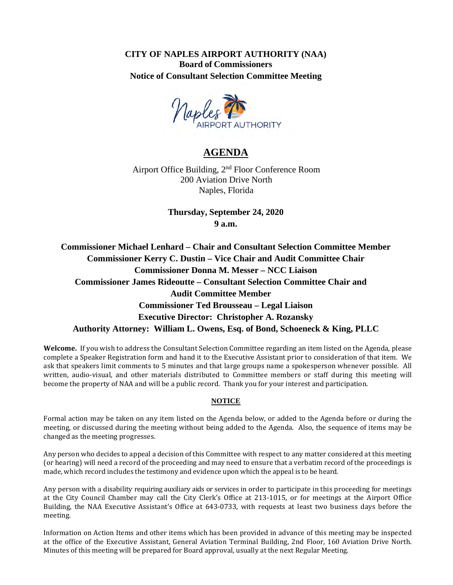**CITY OF NAPLES AIRPORT AUTHORITY (NAA) Board of Commissioners Notice of Consultant Selection Committee Meeting**



# **AGENDA**

Airport Office Building, 2<sup>nd</sup> Floor Conference Room 200 Aviation Drive North Naples, Florida

> **Thursday, September 24, 2020 9 a.m.**

**Commissioner Michael Lenhard – Chair and Consultant Selection Committee Member Commissioner Kerry C. Dustin – Vice Chair and Audit Committee Chair Commissioner Donna M. Messer – NCC Liaison Commissioner James Rideoutte – Consultant Selection Committee Chair and Audit Committee Member Commissioner Ted Brousseau – Legal Liaison Executive Director: Christopher A. Rozansky Authority Attorney: William L. Owens, Esq. of Bond, Schoeneck & King, PLLC** 

**Welcome.** If you wish to address the Consultant Selection Committee regarding an item listed on the Agenda, please complete a Speaker Registration form and hand it to the Executive Assistant prior to consideration of that item. We ask that speakers limit comments to 5 minutes and that large groups name a spokesperson whenever possible. All written, audio-visual, and other materials distributed to Committee members or staff during this meeting will become the property of NAA and will be a public record. Thank you for your interest and participation.

#### **NOTICE**

Formal action may be taken on any item listed on the Agenda below, or added to the Agenda before or during the meeting, or discussed during the meeting without being added to the Agenda. Also, the sequence of items may be changed as the meeting progresses.

Any person who decides to appeal a decision of this Committee with respect to any matter considered at this meeting (or hearing) will need a record of the proceeding and may need to ensure that a verbatim record of the proceedings is made, which record includes the testimony and evidence upon which the appeal is to be heard.

Any person with a disability requiring auxiliary aids or services in order to participate in this proceeding for meetings at the City Council Chamber may call the City Clerk's Office at 213-1015, or for meetings at the Airport Office Building, the NAA Executive Assistant's Office at 643-0733, with requests at least two business days before the meeting.

Information on Action Items and other items which has been provided in advance of this meeting may be inspected at the office of the Executive Assistant, General Aviation Terminal Building, 2nd Floor, 160 Aviation Drive North. Minutes of this meeting will be prepared for Board approval, usually at the next Regular Meeting.